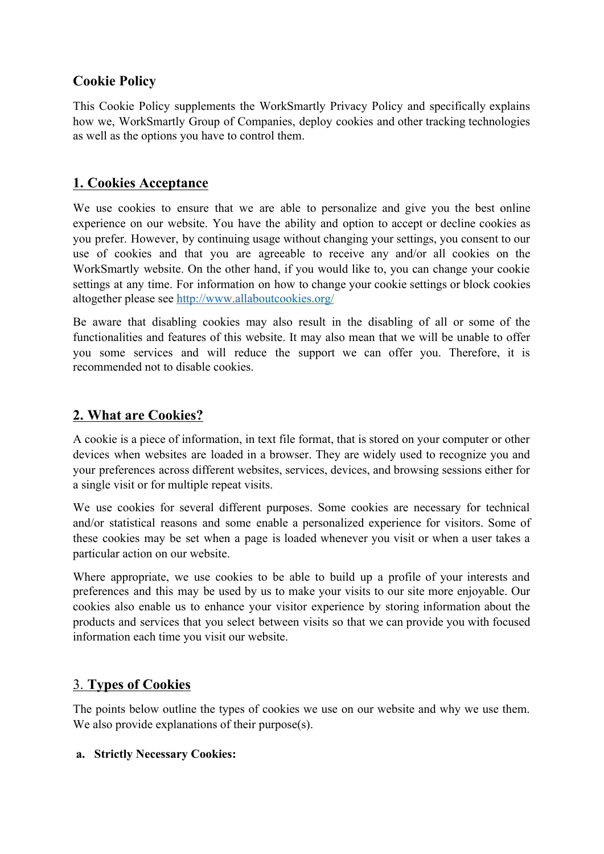## **Cookie Policy**

This Cookie Policy supplements the WorkSmartly Privacy Policy and specifically explains how we, WorkSmartly Group of Companies, deploy cookies and other tracking technologies as well as the options you have to control them.

# **1. Cookies Acceptance**

We use cookies to ensure that we are able to personalize and give you the best online experience on our website. You have the ability and option to accept or decline cookies as you prefer. However, by continuing usage without changing your settings, you consent to our use of cookies and that you are agreeable to receive any and/or all cookies on the WorkSmartly website. On the other hand, if you would like to, you can change your cookie settings at any time. For information on how to change your cookie settings or block cookies altogether please see<http://www.allaboutcookies.org/>

Be aware that disabling cookies may also result in the disabling of all or some of the functionalities and features of this website. It may also mean that we will be unable to offer you some services and will reduce the support we can offer you. Therefore, it is recommended not to disable cookies.

# **2. What are Cookies?**

A cookie is a piece of information, in text file format, that is stored on your computer or other devices when websites are loaded in a browser. They are widely used to recognize you and your preferences across different websites, services, devices, and browsing sessions either for a single visit or for multiple repeat visits.

We use cookies for several different purposes. Some cookies are necessary for technical and/or statistical reasons and some enable a personalized experience for visitors. Some of these cookies may be set when a page is loaded whenever you visit or when a user takes a particular action on our website.

Where appropriate, we use cookies to be able to build up a profile of your interests and preferences and this may be used by us to make your visits to our site more enjoyable. Our cookies also enable us to enhance your visitor experience by storing information about the products and services that you select between visits so that we can provide you with focused information each time you visit our website.

# 3. **Types of Cookies**

The points below outline the types of cookies we use on our website and why we use them. We also provide explanations of their purpose(s).

#### **a. Strictly Necessary Cookies:**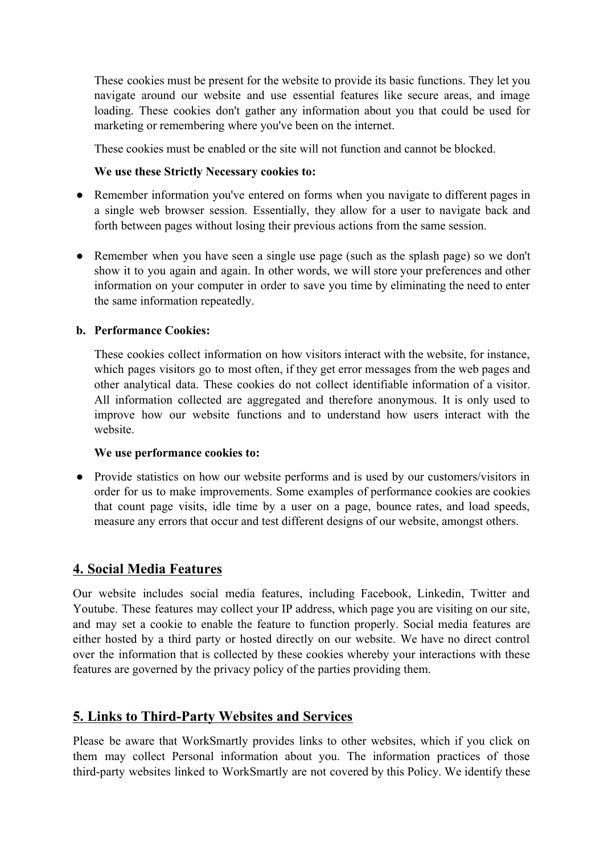These cookies must be present for the website to provide its basic functions. They let you navigate around our website and use essential features like secure areas, and image loading. These cookies don't gather any information about you that could be used for marketing or remembering where you've been on the internet.

These cookies must be enabled or the site will not function and cannot be blocked.

#### **We use these Strictly Necessary cookies to:**

- Remember information you've entered on forms when you navigate to different pages in a single web browser session. Essentially, they allow for a user to navigate back and forth between pages without losing their previous actions from the same session.
- **●** Remember when you have seen a single use page (such as the splash page) so we don't show it to you again and again. In other words, we will store your preferences and other information on your computer in order to save you time by eliminating the need to enter the same information repeatedly.

#### **b. Performance Cookies:**

These cookies collect information on how visitors interact with the website, for instance, which pages visitors go to most often, if they get error messages from the web pages and other analytical data. These cookies do not collect identifiable information of a visitor. All information collected are aggregated and therefore anonymous. It is only used to improve how our website functions and to understand how users interact with the website.

#### **We use performance cookies to:**

• Provide statistics on how our website performs and is used by our customers/visitors in order for us to make improvements. Some examples of performance cookies are cookies that count page visits, idle time by a user on a page, bounce rates, and load speeds, measure any errors that occur and test different designs of our website, amongst others.

## **4. Social Media [Features](https://www.dell.com/learn/my/en/mycorp1/policies-privacy#smf)**

Our website includes social media features, including Facebook, Linkedin, Twitter and Youtube. These features may collect your IP address, which page you are visiting on our site, and may set a cookie to enable the feature to function properly. Social media features are either hosted by a third party or hosted directly on our website. We have no direct control over the information that is collected by these cookies whereby your interactions with these features are governed by the privacy policy of the parties providing them.

## **5. Links to [Third-Party](https://www.dell.com/learn/my/en/mycorp1/policies-privacy#ltpws) Websites and Services**

Please be aware that WorkSmartly provides links to other websites, which if you click on them may collect Personal information about you. The information practices of those third-party websites linked to WorkSmartly are not covered by this Policy. We identify these